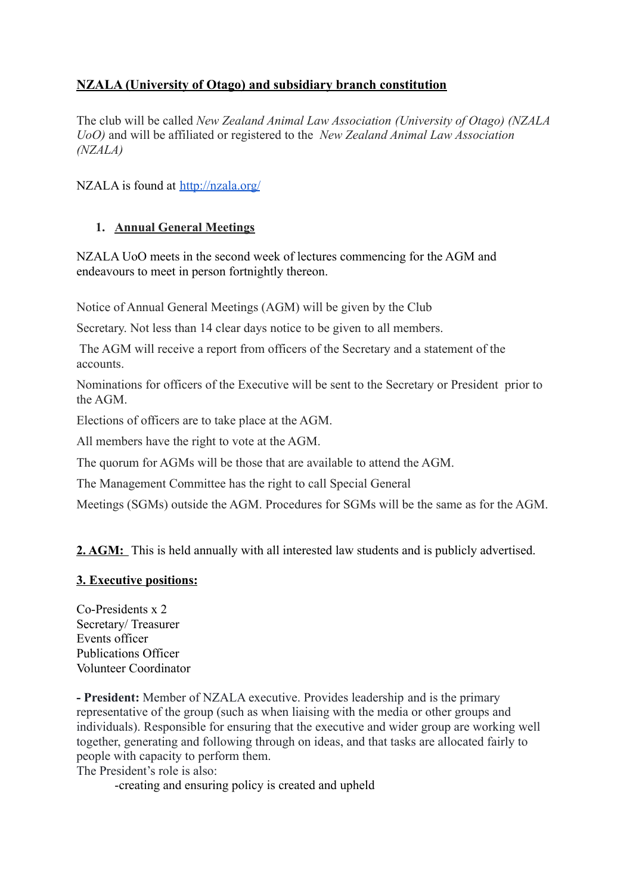# **NZALA (University of Otago) and subsidiary branch constitution**

The club will be called *New Zealand Animal Law Association (University of Otago) (NZALA UoO)* and will be affiliated or registered to the *New Zealand Animal Law Association (NZALA)*

NZALA is found at <http://nzala.org/>

## **1. Annual General Meetings**

NZALA UoO meets in the second week of lectures commencing for the AGM and endeavours to meet in person fortnightly thereon.

Notice of Annual General Meetings (AGM) will be given by the Club

Secretary. Not less than 14 clear days notice to be given to all members.

The AGM will receive a report from officers of the Secretary and a statement of the accounts.

Nominations for officers of the Executive will be sent to the Secretary or President prior to the AGM.

Elections of officers are to take place at the AGM.

All members have the right to vote at the AGM.

The quorum for AGMs will be those that are available to attend the AGM.

The Management Committee has the right to call Special General

Meetings (SGMs) outside the AGM. Procedures for SGMs will be the same as for the AGM.

**2. AGM:** This is held annually with all interested law students and is publicly advertised.

## **3. Executive positions:**

Co-Presidents x 2 Secretary/ Treasurer Events officer Publications Officer Volunteer Coordinator

**- President:** Member of NZALA executive. Provides leadership and is the primary representative of the group (such as when liaising with the media or other groups and individuals). Responsible for ensuring that the executive and wider group are working well together, generating and following through on ideas, and that tasks are allocated fairly to people with capacity to perform them.

The President's role is also:

-creating and ensuring policy is created and upheld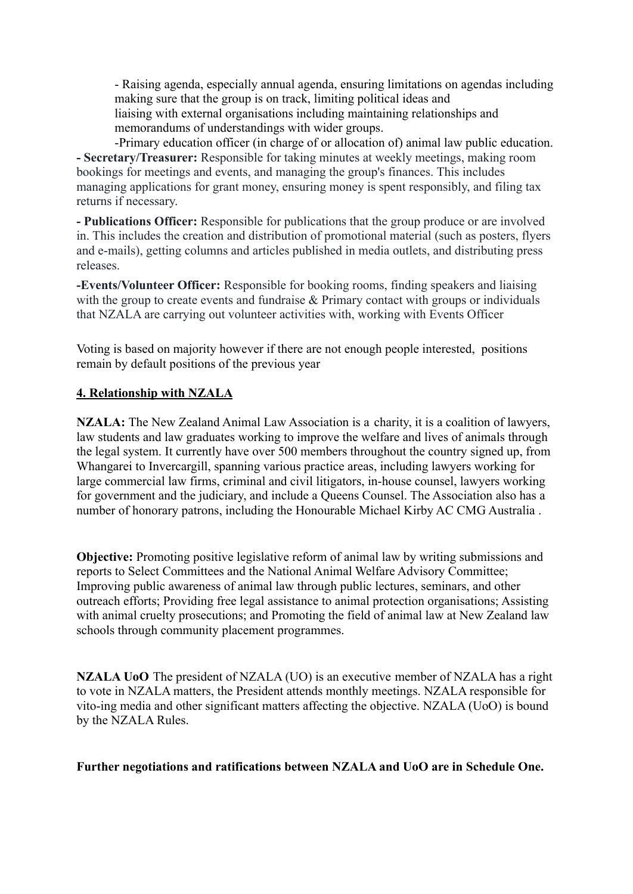- Raising agenda, especially annual agenda, ensuring limitations on agendas including making sure that the group is on track, limiting political ideas and liaising with external organisations including maintaining relationships and memorandums of understandings with wider groups.

-Primary education officer (in charge of or allocation of) animal law public education. **- Secretary/Treasurer:** Responsible for taking minutes at weekly meetings, making room bookings for meetings and events, and managing the group's finances. This includes managing applications for grant money, ensuring money is spent responsibly, and filing tax returns if necessary.

**- Publications Officer:** Responsible for publications that the group produce or are involved in. This includes the creation and distribution of promotional material (such as posters, flyers and e-mails), getting columns and articles published in media outlets, and distributing press releases.

**-Events/Volunteer Officer:** Responsible for booking rooms, finding speakers and liaising with the group to create events and fundraise & Primary contact with groups or individuals that NZALA are carrying out volunteer activities with, working with Events Officer

Voting is based on majority however if there are not enough people interested, positions remain by default positions of the previous year

## **4. Relationship with NZALA**

**NZALA:** The New Zealand Animal Law Association is a charity, it is a coalition of lawyers, law students and law graduates working to improve the welfare and lives of animals through the legal system. It currently have over 500 members throughout the country signed up, from Whangarei to Invercargill, spanning various practice areas, including lawyers working for large commercial law firms, criminal and civil litigators, in-house counsel, lawyers working for government and the judiciary, and include a Queens Counsel. The Association also has a number of honorary patrons, including the Honourable Michael Kirby AC CMG Australia .

**Objective:** Promoting positive legislative reform of animal law by writing submissions and reports to Select Committees and the National Animal Welfare Advisory Committee; Improving public awareness of animal law through public lectures, seminars, and other outreach efforts; Providing free legal assistance to animal protection organisations; Assisting with animal cruelty prosecutions; and Promoting the field of animal law at New Zealand law schools through community placement programmes.

**NZALA UoO** The president of NZALA (UO) is an executive member of NZALA has a right to vote in NZALA matters, the President attends monthly meetings. NZALA responsible for vito-ing media and other significant matters affecting the objective. NZALA (UoO) is bound by the NZALA Rules.

### **Further negotiations and ratifications between NZALA and UoO are in Schedule One.**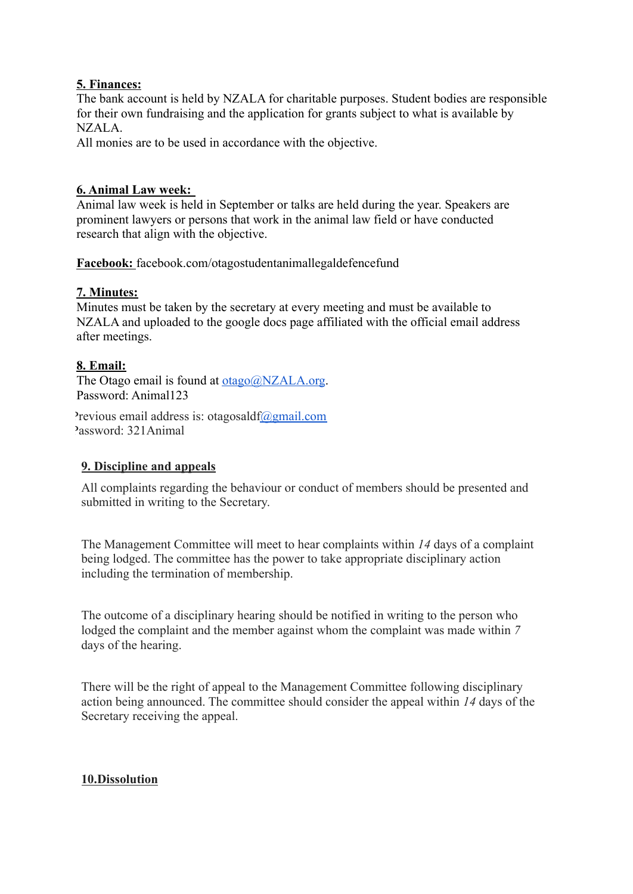## **5. Finances:**

The bank account is held by NZALA for charitable purposes. Student bodies are responsible for their own fundraising and the application for grants subject to what is available by NZALA.

All monies are to be used in accordance with the objective.

## **6. Animal Law week:**

Animal law week is held in September or talks are held during the year. Speakers are prominent lawyers or persons that work in the animal law field or have conducted research that align with the objective.

**Facebook:** facebook.com/otagostudentanimallegaldefencefund

## **7. Minutes:**

Minutes must be taken by the secretary at every meeting and must be available to NZALA and uploaded to the google docs page affiliated with the official email address after meetings.

## **8. Email:**

The Otago email is found at [otago@NZALA.org](mailto:otago@NZALA.org). Password: Animal123

Previous email address is: otagosald $f(\partial g)$ gmail.com Password: 321Animal

## **9. Discipline and appeals**

All complaints regarding the behaviour or conduct of members should be presented and submitted in writing to the Secretary.

The Management Committee will meet to hear complaints within *14* days of a complaint being lodged. The committee has the power to take appropriate disciplinary action including the termination of membership.

The outcome of a disciplinary hearing should be notified in writing to the person who lodged the complaint and the member against whom the complaint was made within *7* days of the hearing.

There will be the right of appeal to the Management Committee following disciplinary action being announced. The committee should consider the appeal within *14* days of the Secretary receiving the appeal.

## **10.Dissolution**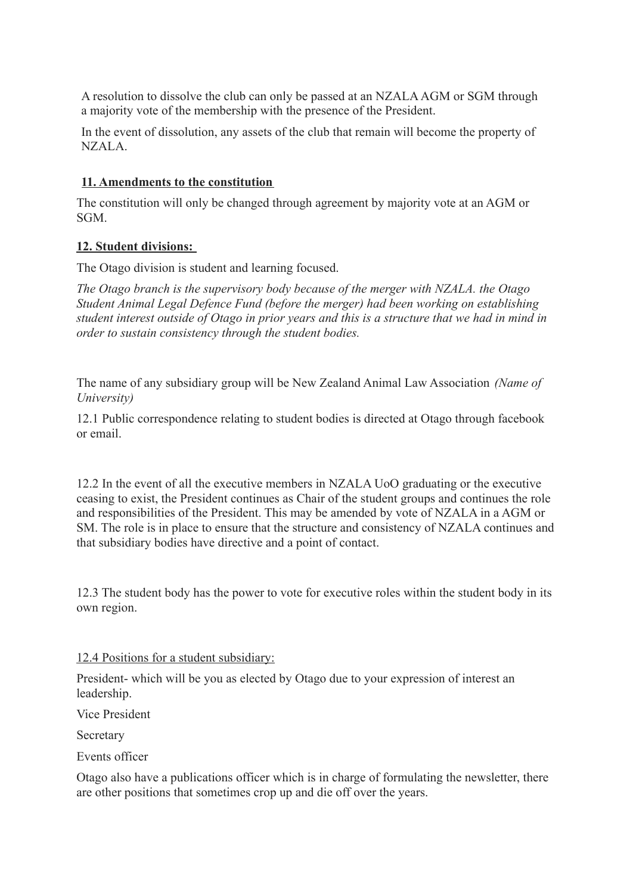A resolution to dissolve the club can only be passed at an NZALA AGM or SGM through a majority vote of the membership with the presence of the President.

In the event of dissolution, any assets of the club that remain will become the property of NZALA.

## **11. Amendments to the constitution**

The constitution will only be changed through agreement by majority vote at an AGM or SGM.

## **12. Student divisions:**

The Otago division is student and learning focused.

*The Otago branch is the supervisory body because of the merger with NZALA. the Otago Student Animal Legal Defence Fund (before the merger) had been working on establishing student interest outside of Otago in prior years and this is a structure that we had in mind in order to sustain consistency through the student bodies.*

The name of any subsidiary group will be New Zealand Animal Law Association *(Name of University)*

12.1 Public correspondence relating to student bodies is directed at Otago through facebook or email.

12.2 In the event of all the executive members in NZALA UoO graduating or the executive ceasing to exist, the President continues as Chair of the student groups and continues the role and responsibilities of the President. This may be amended by vote of NZALA in a AGM or SM. The role is in place to ensure that the structure and consistency of NZALA continues and that subsidiary bodies have directive and a point of contact.

12.3 The student body has the power to vote for executive roles within the student body in its own region.

## 12.4 Positions for a student subsidiary:

President- which will be you as elected by Otago due to your expression of interest an leadership.

Vice President

Secretary

Events officer

Otago also have a publications officer which is in charge of formulating the newsletter, there are other positions that sometimes crop up and die off over the years.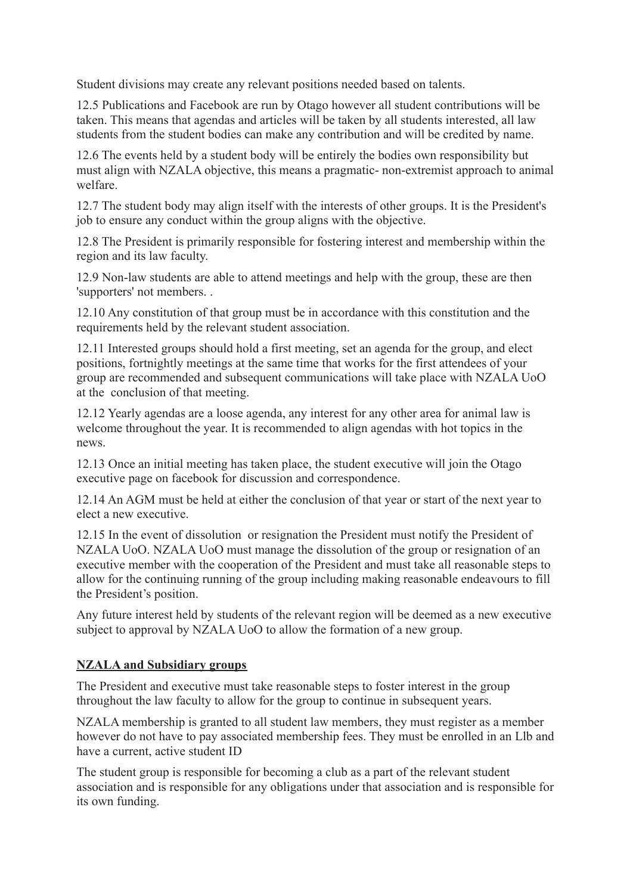Student divisions may create any relevant positions needed based on talents.

12.5 Publications and Facebook are run by Otago however all student contributions will be taken. This means that agendas and articles will be taken by all students interested, all law students from the student bodies can make any contribution and will be credited by name.

12.6 The events held by a student body will be entirely the bodies own responsibility but must align with NZALA objective, this means a pragmatic- non-extremist approach to animal welfare.

12.7 The student body may align itself with the interests of other groups. It is the President's job to ensure any conduct within the group aligns with the objective.

12.8 The President is primarily responsible for fostering interest and membership within the region and its law faculty.

12.9 Non-law students are able to attend meetings and help with the group, these are then 'supporters' not members. .

12.10 Any constitution of that group must be in accordance with this constitution and the requirements held by the relevant student association.

12.11 Interested groups should hold a first meeting, set an agenda for the group, and elect positions, fortnightly meetings at the same time that works for the first attendees of your group are recommended and subsequent communications will take place with NZALA UoO at the conclusion of that meeting.

12.12 Yearly agendas are a loose agenda, any interest for any other area for animal law is welcome throughout the year. It is recommended to align agendas with hot topics in the news.

12.13 Once an initial meeting has taken place, the student executive will join the Otago executive page on facebook for discussion and correspondence.

12.14 An AGM must be held at either the conclusion of that year or start of the next year to elect a new executive.

12.15 In the event of dissolution or resignation the President must notify the President of NZALA UoO. NZALA UoO must manage the dissolution of the group or resignation of an executive member with the cooperation of the President and must take all reasonable steps to allow for the continuing running of the group including making reasonable endeavours to fill the President's position.

Any future interest held by students of the relevant region will be deemed as a new executive subject to approval by NZALA UoO to allow the formation of a new group.

## **NZALA and Subsidiary groups**

The President and executive must take reasonable steps to foster interest in the group throughout the law faculty to allow for the group to continue in subsequent years.

NZALA membership is granted to all student law members, they must register as a member however do not have to pay associated membership fees. They must be enrolled in an Llb and have a current, active student ID

The student group is responsible for becoming a club as a part of the relevant student association and is responsible for any obligations under that association and is responsible for its own funding.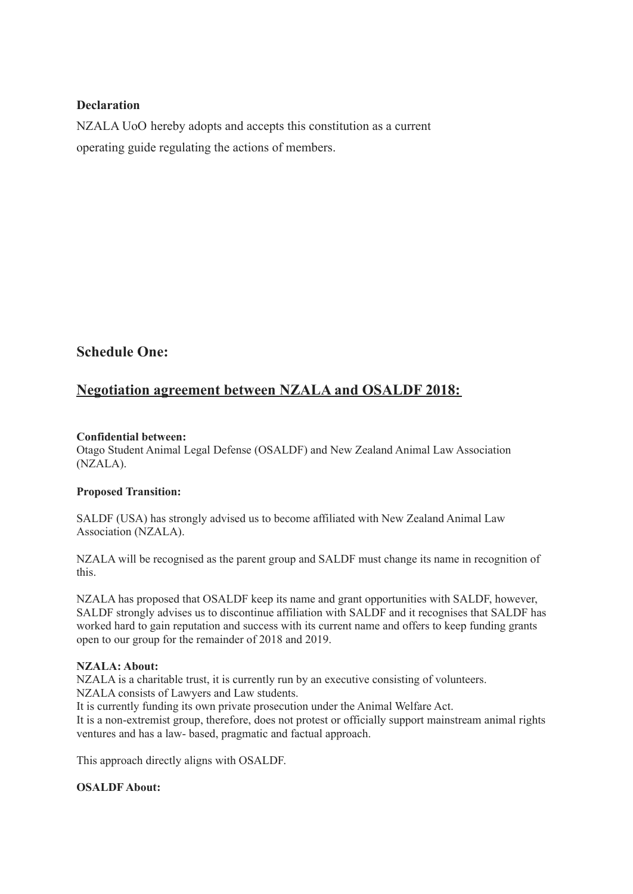### **Declaration**

NZALA UoO hereby adopts and accepts this constitution as a current operating guide regulating the actions of members.

## **Schedule One:**

# **Negotiation agreement between NZALA and OSALDF 2018:**

### **Confidential between:**

Otago Student Animal Legal Defense (OSALDF) and New Zealand Animal Law Association (NZALA).

#### **Proposed Transition:**

SALDF (USA) has strongly advised us to become affiliated with New Zealand Animal Law Association (NZALA).

NZALA will be recognised as the parent group and SALDF must change its name in recognition of this.

NZALA has proposed that OSALDF keep its name and grant opportunities with SALDF, however, SALDF strongly advises us to discontinue affiliation with SALDF and it recognises that SALDF has worked hard to gain reputation and success with its current name and offers to keep funding grants open to our group for the remainder of 2018 and 2019.

#### **NZALA: About:**

NZALA is a charitable trust, it is currently run by an executive consisting of volunteers. NZALA consists of Lawyers and Law students.

It is currently funding its own private prosecution under the Animal Welfare Act. It is a non-extremist group, therefore, does not protest or officially support mainstream animal rights ventures and has a law- based, pragmatic and factual approach.

This approach directly aligns with OSALDF.

#### **OSALDF About:**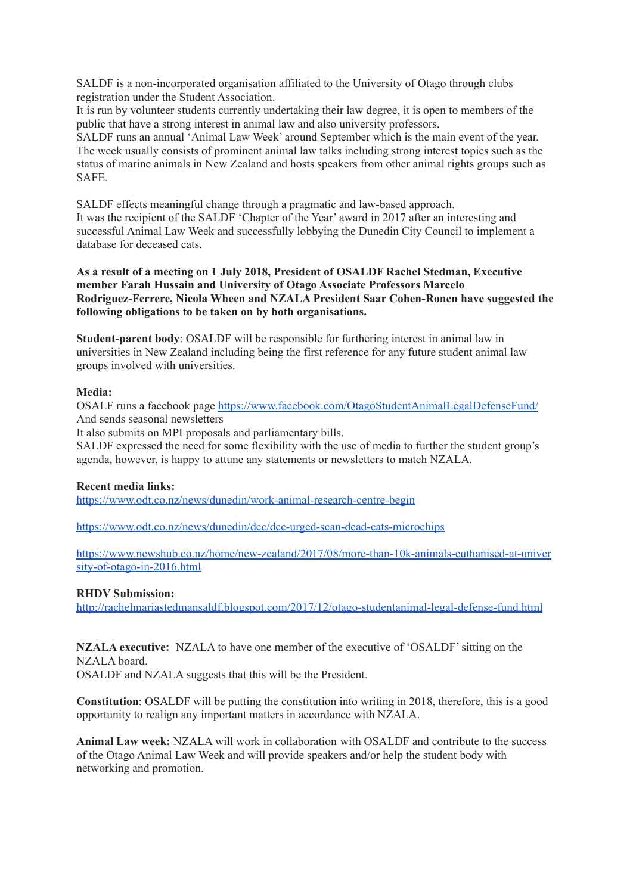SALDF is a non-incorporated organisation affiliated to the University of Otago through clubs registration under the Student Association.

It is run by volunteer students currently undertaking their law degree, it is open to members of the public that have a strong interest in animal law and also university professors.

SALDF runs an annual 'Animal Law Week' around September which is the main event of the year. The week usually consists of prominent animal law talks including strong interest topics such as the status of marine animals in New Zealand and hosts speakers from other animal rights groups such as SAFE.

SALDF effects meaningful change through a pragmatic and law-based approach. It was the recipient of the SALDF 'Chapter of the Year' award in 2017 after an interesting and successful Animal Law Week and successfully lobbying the Dunedin City Council to implement a database for deceased cats.

**As a result of a meeting on 1 July 2018, President of OSALDF Rachel Stedman, Executive member Farah Hussain and University of Otago Associate Professors Marcelo Rodriguez-Ferrere, Nicola Wheen and NZALA President Saar Cohen-Ronen have suggested the following obligations to be taken on by both organisations.**

**Student-parent body**: OSALDF will be responsible for furthering interest in animal law in universities in New Zealand including being the first reference for any future student animal law groups involved with universities.

#### **Media:**

OSALF runs a facebook page <https://www.facebook.com/OtagoStudentAnimalLegalDefenseFund/> And sends seasonal newsletters

It also submits on MPI proposals and parliamentary bills.

SALDF expressed the need for some flexibility with the use of media to further the student group's agenda, however, is happy to attune any statements or newsletters to match NZALA.

#### **Recent media links:**

<https://www.odt.co.nz/news/dunedin/work-animal-research-centre-begin>

<https://www.odt.co.nz/news/dunedin/dcc/dcc-urged-scan-dead-cats-microchips>

[https://www.newshub.co.nz/home/new-zealand/2017/08/more-than-10k-animals-euthanised-at-univer](https://www.newshub.co.nz/home/new-zealand/2017/08/more-than-10k-animals-euthanised-at-university-of-otago-in-2016.html) [sity-of-otago-in-2016.html](https://www.newshub.co.nz/home/new-zealand/2017/08/more-than-10k-animals-euthanised-at-university-of-otago-in-2016.html)

#### **RHDV Submission:**

<http://rachelmariastedmansaldf.blogspot.com/2017/12/otago-studentanimal-legal-defense-fund.html>

**NZALA executive:** NZALA to have one member of the executive of 'OSALDF'sitting on the NZALA board.

OSALDF and NZALA suggests that this will be the President.

**Constitution**: OSALDF will be putting the constitution into writing in 2018, therefore, this is a good opportunity to realign any important matters in accordance with NZALA.

**Animal Law week:** NZALA will work in collaboration with OSALDF and contribute to the success of the Otago Animal Law Week and will provide speakers and/or help the student body with networking and promotion.